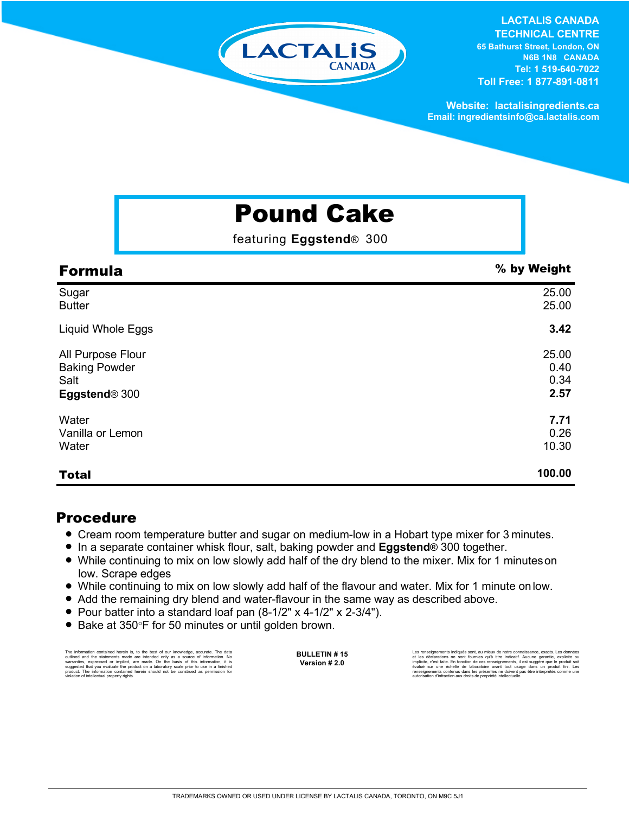# LACTALIS

#### **LACTALIS CANADA**

**TECHNICAL CENTRE 65 Bathurst Street, London, ON N6B 1N8 CANADA Tel: 1 519-640-7022 Toll Free: 1 877-891-0811**

**Website: lactalisingredients.ca Email: ingredientsinfo@ca.lactalis.com**

## Pound Cake

featuring **Eggstend**® 300

| <b>Formula</b>            | % by Weight |
|---------------------------|-------------|
| Sugar                     | 25.00       |
| <b>Butter</b>             | 25.00       |
| Liquid Whole Eggs         | 3.42        |
| All Purpose Flour         | 25.00       |
| <b>Baking Powder</b>      | 0.40        |
| Salt                      | 0.34        |
| Eggstend <sup>®</sup> 300 | 2.57        |
| Water                     | 7.71        |
| Vanilla or Lemon          | 0.26        |
| Water                     | 10.30       |
| <b>Total</b>              | 100.00      |

#### Procedure

- Cream room temperature butter and sugar on medium-low in a Hobart type mixer for 3 minutes.
- In a separate container whisk flour, salt, baking powder and **Eggstend**® 300 together.
- While continuing to mix on low slowly add half of the dry blend to the mixer. Mix for 1 minutes on low. Scrape edges
- = While continuing to mix on low slowly add half of the flavour and water. Mix for 1 minute onlow.
- Add the remaining dry blend and water-flavour in the same way as described above.
- = Pour batter into a standard loaf pan (8-1/2" x 4-1/2" x 2-3/4").
- Bake at 350°F for 50 minutes or until golden brown.

The information contained herein is, to the best of our knowledge, accurate. The data outlined and the statements made are intended only as a source of information. No<br>warranties, expressed or implied, are made. On the basis of this information, it is<br>suggested that you evaluate the product on a laboratory **BULLETIN # 15 Version # 2.0**

Les rensignements indiqués sont, au mieux de notre connaissance, exacts. Les données<br>et les déclarations ne sont fournies qu'à titre indicatif. Aucune garantie, explicite ou<br>implicite, n'est faite. En fonction de ces rensè